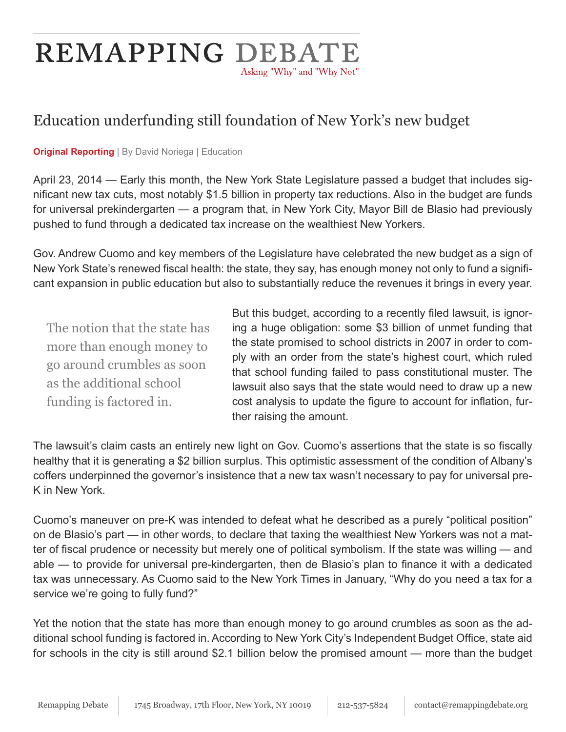# REMAPPING DEBATE Asking "Why" and "Why Not"

## Education underfunding still foundation of New York's new budget

**Original Reporting** | By David Noriega | Education

April 23, 2014 — Early this month, the New York State Legislature passed a budget that includes significant new tax cuts, most notably \$1.5 billion in property tax reductions. Also in the budget are funds for universal prekindergarten — a program that, in New York City, Mayor Bill de Blasio had previously pushed to fund through a dedicated tax increase on the wealthiest New Yorkers.

Gov. Andrew Cuomo and key members of the Legislature have celebrated the new budget as a sign of New York State's renewed fiscal health: the state, they say, has enough money not only to fund a significant expansion in public education but also to substantially reduce the revenues it brings in every year.

The notion that the state has more than enough money to go around crumbles as soon as the additional school funding is factored in.

But this budget, according to a recently filed lawsuit, is ignoring a huge obligation: some \$3 billion of unmet funding that the state promised to school districts in 2007 in order to comply with an order from the state's highest court, which ruled that school funding failed to pass constitutional muster. The lawsuit also says that the state would need to draw up a new cost analysis to update the figure to account for inflation, further raising the amount.

The lawsuit's claim casts an entirely new light on Gov. Cuomo's assertions that the state is so fiscally healthy that it is generating a \$2 billion surplus. This optimistic assessment of the condition of Albany's coffers underpinned the governor's insistence that a new tax wasn't necessary to pay for universal pre-K in New York.

Cuomo's maneuver on pre-K was intended to defeat what he described as a purely "political position" on de Blasio's part — in other words, to declare that taxing the wealthiest New Yorkers was not a matter of fiscal prudence or necessity but merely one of political symbolism. If the state was willing — and able — to provide for universal pre-kindergarten, then de Blasio's plan to finance it with a dedicated tax was unnecessary. As Cuomo said to the New York Times in January, "Why do you need a tax for a service we're going to fully fund?"

Yet the notion that the state has more than enough money to go around crumbles as soon as the additional school funding is factored in. According to New York City's Independent Budget Office, state aid for schools in the city is still around \$2.1 billion below the promised amount — more than the budget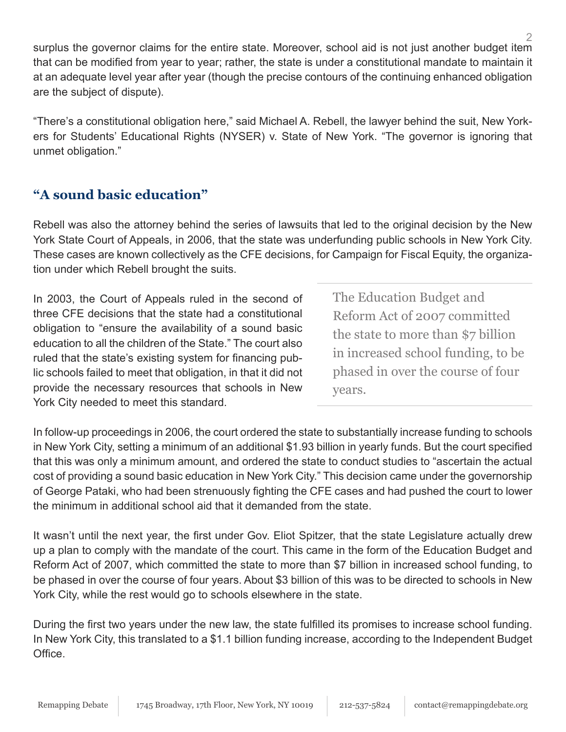surplus the governor claims for the entire state. Moreover, school aid is not just another budget item that can be modified from year to year; rather, the state is under a constitutional mandate to maintain it at an adequate level year after year (though the precise contours of the continuing enhanced obligation are the subject of dispute).

"There's a constitutional obligation here," said Michael A. Rebell, the lawyer behind the suit, New Yorkers for Students' Educational Rights (NYSER) v. State of New York. "The governor is ignoring that unmet obligation."

### **"A sound basic education"**

Rebell was also the attorney behind the series of lawsuits that led to the original decision by the New York State Court of Appeals, in 2006, that the state was underfunding public schools in New York City. These cases are known collectively as the CFE decisions, for Campaign for Fiscal Equity, the organization under which Rebell brought the suits.

In 2003, the Court of Appeals ruled in the second of three CFE decisions that the state had a constitutional obligation to "ensure the availability of a sound basic education to all the children of the State." The court also ruled that the state's existing system for financing public schools failed to meet that obligation, in that it did not provide the necessary resources that schools in New York City needed to meet this standard.

The Education Budget and Reform Act of 2007 committed the state to more than \$7 billion in increased school funding, to be phased in over the course of four years.

In follow-up proceedings in 2006, the court ordered the state to substantially increase funding to schools in New York City, setting a minimum of an additional \$1.93 billion in yearly funds. But the court specified that this was only a minimum amount, and ordered the state to conduct studies to "ascertain the actual cost of providing a sound basic education in New York City." This decision came under the governorship of George Pataki, who had been strenuously fighting the CFE cases and had pushed the court to lower the minimum in additional school aid that it demanded from the state.

It wasn't until the next year, the first under Gov. Eliot Spitzer, that the state Legislature actually drew up a plan to comply with the mandate of the court. This came in the form of the Education Budget and Reform Act of 2007, which committed the state to more than \$7 billion in increased school funding, to be phased in over the course of four years. About \$3 billion of this was to be directed to schools in New York City, while the rest would go to schools elsewhere in the state.

During the first two years under the new law, the state fulfilled its promises to increase school funding. In New York City, this translated to a \$1.1 billion funding increase, according to the Independent Budget Office.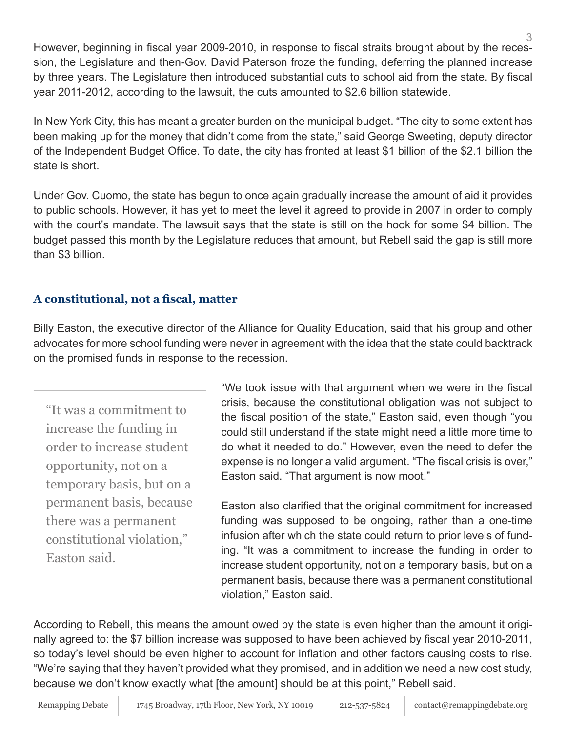3 However, beginning in fiscal year 2009-2010, in response to fiscal straits brought about by the recession, the Legislature and then-Gov. David Paterson froze the funding, deferring the planned increase by three years. The Legislature then introduced substantial cuts to school aid from the state. By fiscal year 2011-2012, according to the lawsuit, the cuts amounted to \$2.6 billion statewide.

In New York City, this has meant a greater burden on the municipal budget. "The city to some extent has been making up for the money that didn't come from the state," said George Sweeting, deputy director of the Independent Budget Office. To date, the city has fronted at least \$1 billion of the \$2.1 billion the state is short.

Under Gov. Cuomo, the state has begun to once again gradually increase the amount of aid it provides to public schools. However, it has yet to meet the level it agreed to provide in 2007 in order to comply with the court's mandate. The lawsuit says that the state is still on the hook for some \$4 billion. The budget passed this month by the Legislature reduces that amount, but Rebell said the gap is still more than \$3 billion.

#### **A constitutional, not a fiscal, matter**

Billy Easton, the executive director of the Alliance for Quality Education, said that his group and other advocates for more school funding were never in agreement with the idea that the state could backtrack on the promised funds in response to the recession.

"It was a commitment to increase the funding in order to increase student opportunity, not on a temporary basis, but on a permanent basis, because there was a permanent constitutional violation," Easton said.

"We took issue with that argument when we were in the fiscal crisis, because the constitutional obligation was not subject to the fiscal position of the state," Easton said, even though "you could still understand if the state might need a little more time to do what it needed to do." However, even the need to defer the expense is no longer a valid argument. "The fiscal crisis is over," Easton said. "That argument is now moot."

Easton also clarified that the original commitment for increased funding was supposed to be ongoing, rather than a one-time infusion after which the state could return to prior levels of funding. "It was a commitment to increase the funding in order to increase student opportunity, not on a temporary basis, but on a permanent basis, because there was a permanent constitutional violation," Easton said.

According to Rebell, this means the amount owed by the state is even higher than the amount it originally agreed to: the \$7 billion increase was supposed to have been achieved by fiscal year 2010-2011, so today's level should be even higher to account for inflation and other factors causing costs to rise. "We're saying that they haven't provided what they promised, and in addition we need a new cost study, because we don't know exactly what [the amount] should be at this point," Rebell said.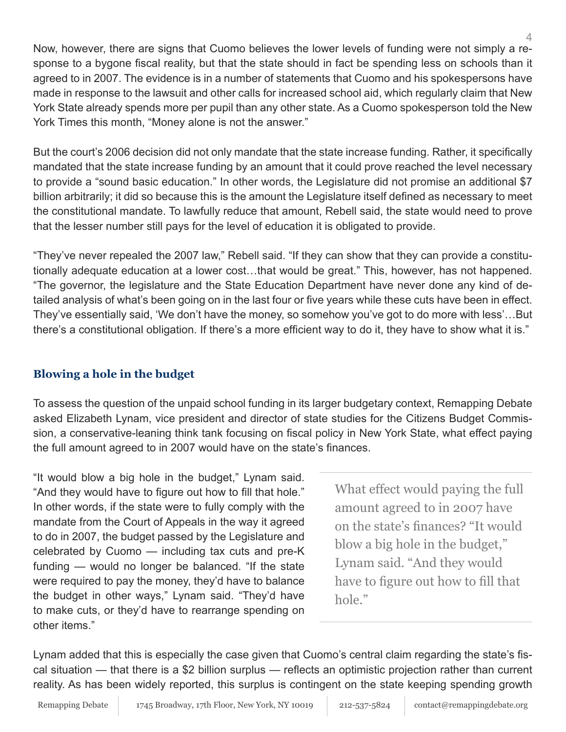Now, however, there are signs that Cuomo believes the lower levels of funding were not simply a response to a bygone fiscal reality, but that the state should in fact be spending less on schools than it agreed to in 2007. The evidence is in a number of statements that Cuomo and his spokespersons have made in response to the lawsuit and other calls for increased school aid, which regularly claim that New York State already spends more per pupil than any other state. As a Cuomo spokesperson told the New York Times this month, "Money alone is not the answer."

But the court's 2006 decision did not only mandate that the state increase funding. Rather, it specifically mandated that the state increase funding by an amount that it could prove reached the level necessary to provide a "sound basic education." In other words, the Legislature did not promise an additional \$7 billion arbitrarily; it did so because this is the amount the Legislature itself defined as necessary to meet the constitutional mandate. To lawfully reduce that amount, Rebell said, the state would need to prove that the lesser number still pays for the level of education it is obligated to provide.

"They've never repealed the 2007 law," Rebell said. "If they can show that they can provide a constitutionally adequate education at a lower cost…that would be great." This, however, has not happened. "The governor, the legislature and the State Education Department have never done any kind of detailed analysis of what's been going on in the last four or five years while these cuts have been in effect. They've essentially said, 'We don't have the money, so somehow you've got to do more with less'…But there's a constitutional obligation. If there's a more efficient way to do it, they have to show what it is."

#### **Blowing a hole in the budget**

To assess the question of the unpaid school funding in its larger budgetary context, Remapping Debate asked Elizabeth Lynam, vice president and director of state studies for the Citizens Budget Commission, a conservative-leaning think tank focusing on fiscal policy in New York State, what effect paying the full amount agreed to in 2007 would have on the state's finances.

"It would blow a big hole in the budget," Lynam said. "And they would have to figure out how to fill that hole." In other words, if the state were to fully comply with the mandate from the Court of Appeals in the way it agreed to do in 2007, the budget passed by the Legislature and celebrated by Cuomo — including tax cuts and pre-K funding — would no longer be balanced. "If the state were required to pay the money, they'd have to balance the budget in other ways," Lynam said. "They'd have to make cuts, or they'd have to rearrange spending on other items."

What effect would paying the full amount agreed to in 2007 have on the state's finances? "It would blow a big hole in the budget," Lynam said. "And they would have to figure out how to fill that hole."

Lynam added that this is especially the case given that Cuomo's central claim regarding the state's fiscal situation — that there is a \$2 billion surplus — reflects an optimistic projection rather than current reality. As has been widely reported, this surplus is contingent on the state keeping spending growth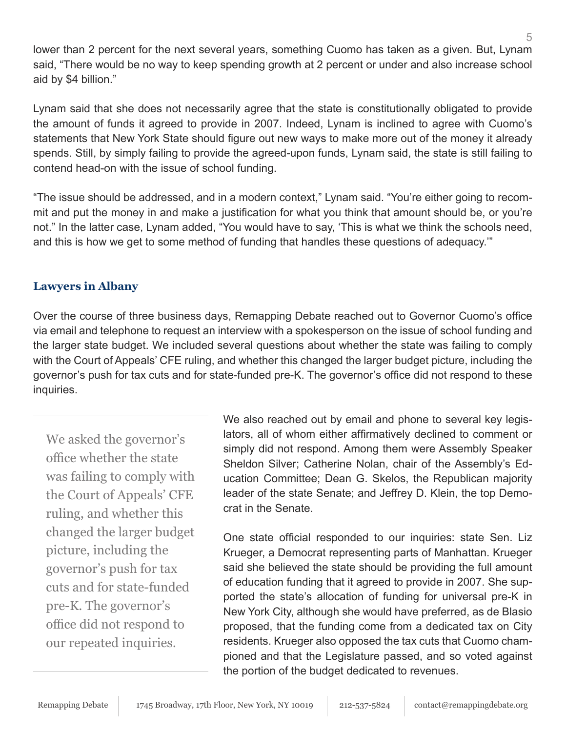lower than 2 percent for the next several years, something Cuomo has taken as a given. But, Lynam said, "There would be no way to keep spending growth at 2 percent or under and also increase school aid by \$4 billion."

Lynam said that she does not necessarily agree that the state is constitutionally obligated to provide the amount of funds it agreed to provide in 2007. Indeed, Lynam is inclined to agree with Cuomo's statements that New York State should figure out new ways to make more out of the money it already spends. Still, by simply failing to provide the agreed-upon funds, Lynam said, the state is still failing to contend head-on with the issue of school funding.

"The issue should be addressed, and in a modern context," Lynam said. "You're either going to recommit and put the money in and make a justification for what you think that amount should be, or you're not." In the latter case, Lynam added, "You would have to say, 'This is what we think the schools need, and this is how we get to some method of funding that handles these questions of adequacy.'"

#### **Lawyers in Albany**

Over the course of three business days, Remapping Debate reached out to Governor Cuomo's office via email and telephone to request an interview with a spokesperson on the issue of school funding and the larger state budget. We included several questions about whether the state was failing to comply with the Court of Appeals' CFE ruling, and whether this changed the larger budget picture, including the governor's push for tax cuts and for state-funded pre-K. The governor's office did not respond to these inquiries.

We asked the governor's office whether the state was failing to comply with the Court of Appeals' CFE ruling, and whether this changed the larger budget picture, including the governor's push for tax cuts and for state-funded pre-K. The governor's office did not respond to our repeated inquiries.

We also reached out by email and phone to several key legislators, all of whom either affirmatively declined to comment or simply did not respond. Among them were Assembly Speaker Sheldon Silver; Catherine Nolan, chair of the Assembly's Education Committee; Dean G. Skelos, the Republican majority leader of the state Senate; and Jeffrey D. Klein, the top Democrat in the Senate.

One state official responded to our inquiries: state Sen. Liz Krueger, a Democrat representing parts of Manhattan. Krueger said she believed the state should be providing the full amount of education funding that it agreed to provide in 2007. She supported the state's allocation of funding for universal pre-K in New York City, although she would have preferred, as de Blasio proposed, that the funding come from a dedicated tax on City residents. Krueger also opposed the tax cuts that Cuomo championed and that the Legislature passed, and so voted against the portion of the budget dedicated to revenues.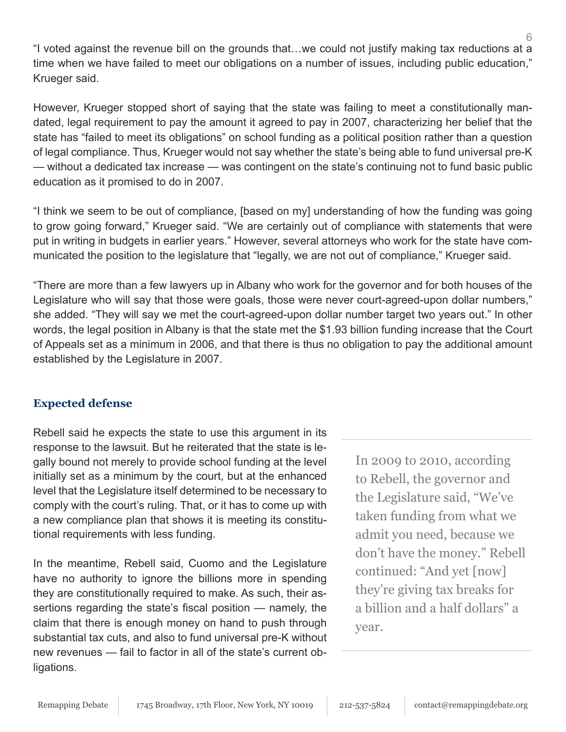"I voted against the revenue bill on the grounds that…we could not justify making tax reductions at a time when we have failed to meet our obligations on a number of issues, including public education," Krueger said.

However, Krueger stopped short of saying that the state was failing to meet a constitutionally mandated, legal requirement to pay the amount it agreed to pay in 2007, characterizing her belief that the state has "failed to meet its obligations" on school funding as a political position rather than a question of legal compliance. Thus, Krueger would not say whether the state's being able to fund universal pre-K — without a dedicated tax increase — was contingent on the state's continuing not to fund basic public education as it promised to do in 2007.

"I think we seem to be out of compliance, [based on my] understanding of how the funding was going to grow going forward," Krueger said. "We are certainly out of compliance with statements that were put in writing in budgets in earlier years." However, several attorneys who work for the state have communicated the position to the legislature that "legally, we are not out of compliance," Krueger said.

"There are more than a few lawyers up in Albany who work for the governor and for both houses of the Legislature who will say that those were goals, those were never court-agreed-upon dollar numbers," she added. "They will say we met the court-agreed-upon dollar number target two years out." In other words, the legal position in Albany is that the state met the \$1.93 billion funding increase that the Court of Appeals set as a minimum in 2006, and that there is thus no obligation to pay the additional amount established by the Legislature in 2007.

#### **Expected defense**

Rebell said he expects the state to use this argument in its response to the lawsuit. But he reiterated that the state is legally bound not merely to provide school funding at the level initially set as a minimum by the court, but at the enhanced level that the Legislature itself determined to be necessary to comply with the court's ruling. That, or it has to come up with a new compliance plan that shows it is meeting its constitutional requirements with less funding.

In the meantime, Rebell said, Cuomo and the Legislature have no authority to ignore the billions more in spending they are constitutionally required to make. As such, their assertions regarding the state's fiscal position — namely, the claim that there is enough money on hand to push through substantial tax cuts, and also to fund universal pre-K without new revenues — fail to factor in all of the state's current obligations.

In 2009 to 2010, according to Rebell, the governor and the Legislature said, "We've taken funding from what we admit you need, because we don't have the money." Rebell continued: "And yet [now] they're giving tax breaks for a billion and a half dollars" a year.